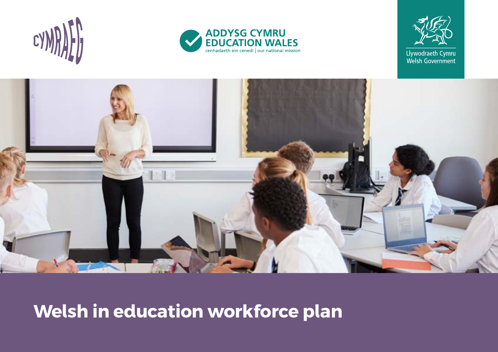







# **Welsh in education workforce plan**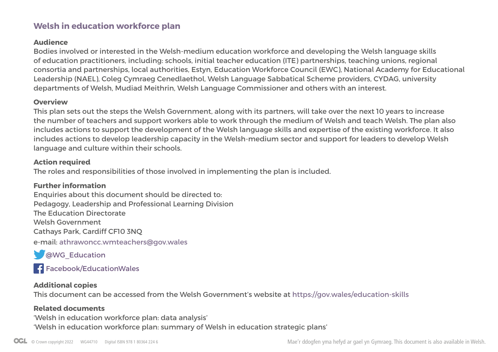### **Welsh in education workforce plan**

#### **Audience**

Bodies involved or interested in the Welsh-medium education workforce and developing the Welsh language skills of education practitioners, including: schools, initial teacher education (ITE) partnerships, teaching unions, regional consortia and partnerships, local authorities, Estyn, Education Workforce Council (EWC), National Academy for Educational Leadership (NAEL), Coleg Cymraeg Cenedlaethol, Welsh Language Sabbatical Scheme providers, CYDAG, university departments of Welsh, Mudiad Meithrin, Welsh Language Commissioner and others with an interest.

#### **Overview**

This plan sets out the steps the Welsh Government, along with its partners, will take over the next 10 years to increase the number of teachers and support workers able to work through the medium of Welsh and teach Welsh. The plan also includes actions to support the development of the Welsh language skills and expertise of the existing workforce. It also includes actions to develop leadership capacity in the Welsh-medium sector and support for leaders to develop Welsh language and culture within their schools.

#### **Action required**

The roles and responsibilities of those involved in implementing the plan is included.

#### **Further information**

Enquiries about this document should be directed to: Pedagogy, Leadership and Professional Learning Division The Education Directorate Welsh Government Cathays Park, Cardiff CF10 3NQ e-mail: athrawoncc.wmteachers@gov.wales

**CO**WG Education

**F[acebook/EducationWales](https://www.facebook.com/educationwales/)** 

#### **Additional copies**

This document can be accessed from the Welsh Government's website at<https://gov.wales/education-skills>

#### **Related documents**

'Welsh in education workforce plan: data analysis' 'Welsh in education workforce plan: summary of Welsh in education strategic plans'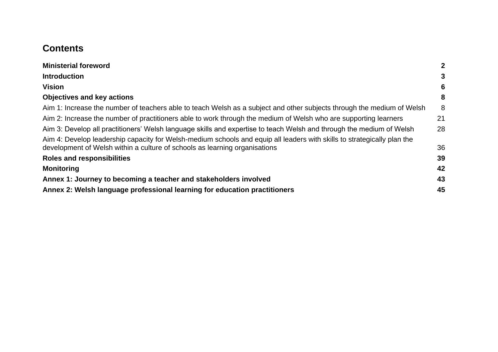### **Contents**

| <b>Ministerial foreword</b>                                                                                                                                                                           | $\overline{2}$ |
|-------------------------------------------------------------------------------------------------------------------------------------------------------------------------------------------------------|----------------|
| <b>Introduction</b>                                                                                                                                                                                   | 3              |
| Vision                                                                                                                                                                                                | 6              |
| <b>Objectives and key actions</b>                                                                                                                                                                     | 8              |
| Aim 1: Increase the number of teachers able to teach Welsh as a subject and other subjects through the medium of Welsh                                                                                | 8              |
| Aim 2: Increase the number of practitioners able to work through the medium of Welsh who are supporting learners                                                                                      | 21             |
| Aim 3: Develop all practitioners' Welsh language skills and expertise to teach Welsh and through the medium of Welsh                                                                                  | 28             |
| Aim 4: Develop leadership capacity for Welsh-medium schools and equip all leaders with skills to strategically plan the<br>development of Welsh within a culture of schools as learning organisations | 36             |
| <b>Roles and responsibilities</b>                                                                                                                                                                     | 39             |
| <b>Monitoring</b>                                                                                                                                                                                     | 42             |
| Annex 1: Journey to becoming a teacher and stakeholders involved                                                                                                                                      | 43             |
| Annex 2: Welsh language professional learning for education practitioners                                                                                                                             | 45             |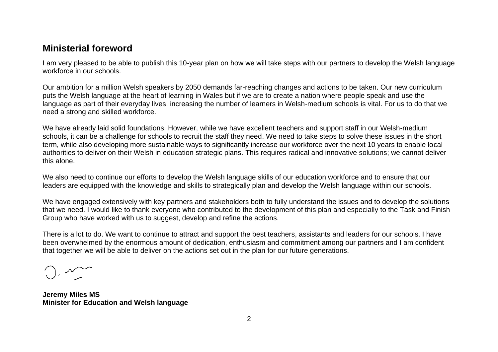### <span id="page-3-0"></span>**Ministerial foreword**

I am very pleased to be able to publish this 10-year plan on how we will take steps with our partners to develop the Welsh language workforce in our schools.

Our ambition for a million Welsh speakers by 2050 demands far-reaching changes and actions to be taken. Our new curriculum puts the Welsh language at the heart of learning in Wales but if we are to create a nation where people speak and use the language as part of their everyday lives, increasing the number of learners in Welsh-medium schools is vital. For us to do that we need a strong and skilled workforce.

We have already laid solid foundations. However, while we have excellent teachers and support staff in our Welsh-medium schools, it can be a challenge for schools to recruit the staff they need. We need to take steps to solve these issues in the short term, while also developing more sustainable ways to significantly increase our workforce over the next 10 years to enable local authorities to deliver on their Welsh in education strategic plans. This requires radical and innovative solutions; we cannot deliver this alone.

We also need to continue our efforts to develop the Welsh language skills of our education workforce and to ensure that our leaders are equipped with the knowledge and skills to strategically plan and develop the Welsh language within our schools.

We have engaged extensively with key partners and stakeholders both to fully understand the issues and to develop the solutions that we need. I would like to thank everyone who contributed to the development of this plan and especially to the Task and Finish Group who have worked with us to suggest, develop and refine the actions.

There is a lot to do. We want to continue to attract and support the best teachers, assistants and leaders for our schools. I have been overwhelmed by the enormous amount of dedication, enthusiasm and commitment among our partners and I am confident that together we will be able to deliver on the actions set out in the plan for our future generations.

**Jeremy Miles MS Minister for Education and Welsh language**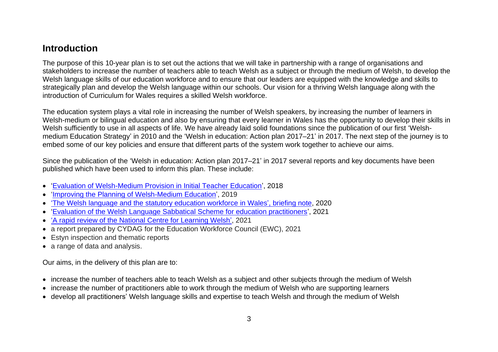### <span id="page-4-0"></span>**Introduction**

The purpose of this 10-year plan is to set out the actions that we will take in partnership with a range of organisations and stakeholders to increase the number of teachers able to teach Welsh as a subject or through the medium of Welsh, to develop the Welsh language skills of our education workforce and to ensure that our leaders are equipped with the knowledge and skills to strategically plan and develop the Welsh language within our schools. Our vision for a thriving Welsh language along with the introduction of Curriculum for Wales requires a skilled Welsh workforce.

The education system plays a vital role in increasing the number of Welsh speakers, by increasing the number of learners in Welsh-medium or bilingual education and also by ensuring that every learner in Wales has the opportunity to develop their skills in Welsh sufficiently to use in all aspects of life. We have already laid solid foundations since the publication of our first 'Welshmedium Education Strategy' in 2010 and the 'Welsh in education: Action plan 2017–21' in 2017. The next step of the journey is to embed some of our key policies and ensure that different parts of the system work together to achieve our aims.

Since the publication of the 'Welsh in education: Action plan 2017–21' in 2017 several reports and key documents have been published which have been used to inform this plan. These include:

- ['Evaluation of Welsh-Medium Provision in Initial Teacher Education'](https://gov.wales/evaluation-welsh-medium-provision-initial-teacher-education-0), 2018
- ['Improving the Planning of Welsh-Medium Education'](https://gov.wales/improving-planning-welsh-medium-education), 2019
- ['The Welsh language and the statutory education workforce](https://www.welshlanguagecommissioner.wales/policy-and-research/our-policy-opinions/education) in Wales', briefing note, 2020
- ['Evaluation of the Welsh Language Sabbatical Scheme for education practitioners'](https://gov.wales/evaluation-welsh-language-sabbatical-scheme-education-practitioners), 2021
- ['A rapid review of the National Centre for Learning Welsh',](https://gov.wales/rapid-review-national-centre-learning-welsh) 2021
- a report prepared by CYDAG for the Education Workforce Council (EWC), 2021
- Estyn inspection and thematic reports
- a range of data and analysis.

Our aims, in the delivery of this plan are to:

- increase the number of teachers able to teach Welsh as a subject and other subjects through the medium of Welsh
- increase the number of practitioners able to work through the medium of Welsh who are supporting learners
- develop all practitioners' Welsh language skills and expertise to teach Welsh and through the medium of Welsh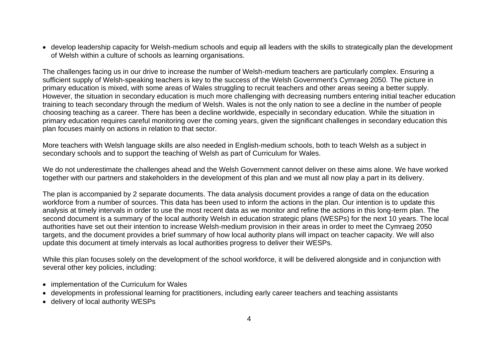• develop leadership capacity for Welsh-medium schools and equip all leaders with the skills to strategically plan the development of Welsh within a culture of schools as learning organisations.

The challenges facing us in our drive to increase the number of Welsh-medium teachers are particularly complex. Ensuring a sufficient supply of Welsh-speaking teachers is key to the success of the Welsh Government's Cymraeg 2050. The picture in primary education is mixed, with some areas of Wales struggling to recruit teachers and other areas seeing a better supply. However, the situation in secondary education is much more challenging with decreasing numbers entering initial teacher education training to teach secondary through the medium of Welsh. Wales is not the only nation to see a decline in the number of people choosing teaching as a career. There has been a decline worldwide, especially in secondary education. While the situation in primary education requires careful monitoring over the coming years, given the significant challenges in secondary education this plan focuses mainly on actions in relation to that sector.

More teachers with Welsh language skills are also needed in English-medium schools, both to teach Welsh as a subject in secondary schools and to support the teaching of Welsh as part of Curriculum for Wales.

We do not underestimate the challenges ahead and the Welsh Government cannot deliver on these aims alone. We have worked together with our partners and stakeholders in the development of this plan and we must all now play a part in its delivery.

The plan is accompanied by 2 separate documents. The data analysis document provides a range of data on the education workforce from a number of sources. This data has been used to inform the actions in the plan. Our intention is to update this analysis at timely intervals in order to use the most recent data as we monitor and refine the actions in this long-term plan. The second document is a summary of the local authority Welsh in education strategic plans (WESPs) for the next 10 years. The local authorities have set out their intention to increase Welsh-medium provision in their areas in order to meet the Cymraeg 2050 targets, and the document provides a brief summary of how local authority plans will impact on teacher capacity. We will also update this document at timely intervals as local authorities progress to deliver their WESPs.

While this plan focuses solely on the development of the school workforce, it will be delivered alongside and in conjunction with several other key policies, including:

- implementation of the Curriculum for Wales
- developments in professional learning for practitioners, including early career teachers and teaching assistants
- delivery of local authority WESPs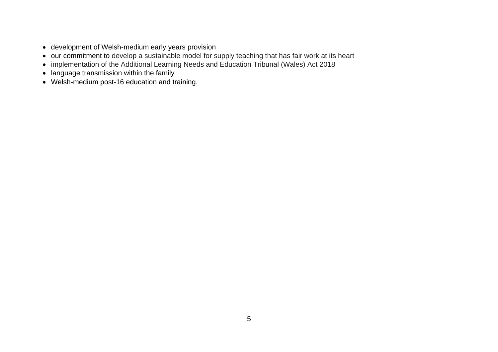- development of Welsh-medium early years provision
- our commitment to develop a sustainable model for supply teaching that has fair work at its heart
- implementation of the Additional Learning Needs and Education Tribunal (Wales) Act 2018
- language transmission within the family
- Welsh-medium post-16 education and training.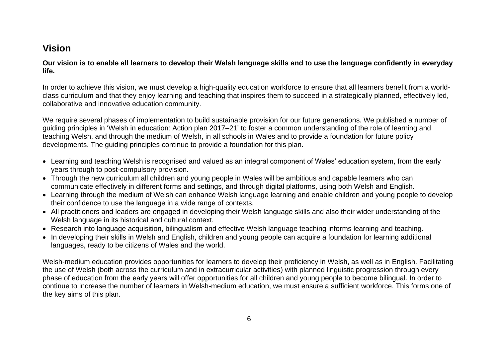### <span id="page-7-0"></span>**Vision**

**Our vision is to enable all learners to develop their Welsh language skills and to use the language confidently in everyday life.** 

In order to achieve this vision, we must develop a high-quality education workforce to ensure that all learners benefit from a worldclass curriculum and that they enjoy learning and teaching that inspires them to succeed in a strategically planned, effectively led, collaborative and innovative education community.

We require several phases of implementation to build sustainable provision for our future generations. We published a number of guiding principles in 'Welsh in education: Action plan 2017–21' to foster a common understanding of the role of learning and teaching Welsh, and through the medium of Welsh, in all schools in Wales and to provide a foundation for future policy developments. The guiding principles continue to provide a foundation for this plan.

- Learning and teaching Welsh is recognised and valued as an integral component of Wales' education system, from the early years through to post-compulsory provision.
- Through the new curriculum all children and young people in Wales will be ambitious and capable learners who can communicate effectively in different forms and settings, and through digital platforms, using both Welsh and English.
- Learning through the medium of Welsh can enhance Welsh language learning and enable children and young people to develop their confidence to use the language in a wide range of contexts.
- All practitioners and leaders are engaged in developing their Welsh language skills and also their wider understanding of the Welsh language in its historical and cultural context.
- Research into language acquisition, bilingualism and effective Welsh language teaching informs learning and teaching.
- In developing their skills in Welsh and English, children and young people can acquire a foundation for learning additional languages, ready to be citizens of Wales and the world.

Welsh-medium education provides opportunities for learners to develop their proficiency in Welsh, as well as in English. Facilitating the use of Welsh (both across the curriculum and in extracurricular activities) with planned linguistic progression through every phase of education from the early years will offer opportunities for all children and young people to become bilingual. In order to continue to increase the number of learners in Welsh-medium education, we must ensure a sufficient workforce. This forms one of the key aims of this plan.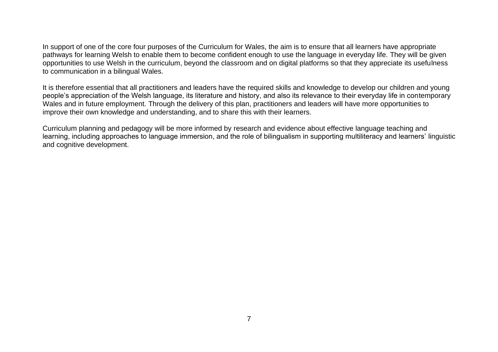In support of one of the core four purposes of the Curriculum for Wales, the aim is to ensure that all learners have appropriate pathways for learning Welsh to enable them to become confident enough to use the language in everyday life. They will be given opportunities to use Welsh in the curriculum, beyond the classroom and on digital platforms so that they appreciate its usefulness to communication in a bilingual Wales.

It is therefore essential that all practitioners and leaders have the required skills and knowledge to develop our children and young people's appreciation of the Welsh language, its literature and history, and also its relevance to their everyday life in contemporary Wales and in future employment. Through the delivery of this plan, practitioners and leaders will have more opportunities to improve their own knowledge and understanding, and to share this with their learners.

Curriculum planning and pedagogy will be more informed by research and evidence about effective language teaching and learning, including approaches to language immersion, and the role of bilingualism in supporting multiliteracy and learners' linguistic and cognitive development.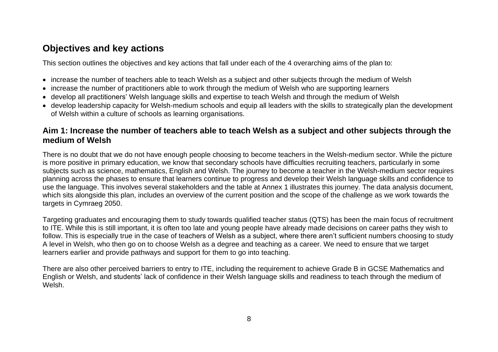### <span id="page-9-0"></span>**Objectives and key actions**

This section outlines the objectives and key actions that fall under each of the 4 overarching aims of the plan to:

- increase the number of teachers able to teach Welsh as a subject and other subjects through the medium of Welsh
- increase the number of practitioners able to work through the medium of Welsh who are supporting learners
- develop all practitioners' Welsh language skills and expertise to teach Welsh and through the medium of Welsh
- develop leadership capacity for Welsh-medium schools and equip all leaders with the skills to strategically plan the development of Welsh within a culture of schools as learning organisations.

#### <span id="page-9-1"></span>**Aim 1: Increase the number of teachers able to teach Welsh as a subject and other subjects through the medium of Welsh**

There is no doubt that we do not have enough people choosing to become teachers in the Welsh-medium sector. While the picture is more positive in primary education, we know that secondary schools have difficulties recruiting teachers, particularly in some subjects such as science, mathematics, English and Welsh. The journey to become a teacher in the Welsh-medium sector requires planning across the phases to ensure that learners continue to progress and develop their Welsh language skills and confidence to use the language. This involves several stakeholders and the table at Annex 1 illustrates this journey. The data analysis document, which sits alongside this plan, includes an overview of the current position and the scope of the challenge as we work towards the targets in Cymraeg 2050.

Targeting graduates and encouraging them to study towards qualified teacher status (QTS) has been the main focus of recruitment to ITE. While this is still important, it is often too late and young people have already made decisions on career paths they wish to follow. This is especially true in the case of teachers of Welsh as a subject, where there aren't sufficient numbers choosing to study A level in Welsh, who then go on to choose Welsh as a degree and teaching as a career. We need to ensure that we target learners earlier and provide pathways and support for them to go into teaching.

There are also other perceived barriers to entry to ITE, including the requirement to achieve Grade B in GCSE Mathematics and English or Welsh, and students' lack of confidence in their Welsh language skills and readiness to teach through the medium of Welsh.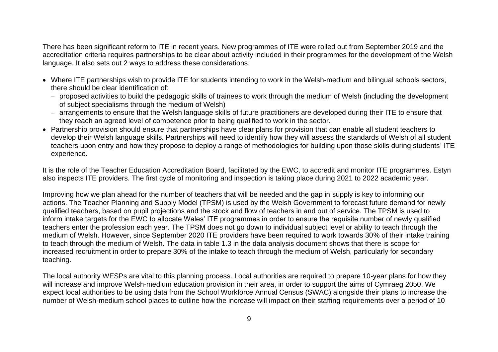There has been significant reform to ITE in recent years. New programmes of ITE were rolled out from September 2019 and the accreditation criteria requires partnerships to be clear about activity included in their programmes for the development of the Welsh language. It also sets out 2 ways to address these considerations.

- Where ITE partnerships wish to provide ITE for students intending to work in the Welsh-medium and bilingual schools sectors, there should be clear identification of:
	- ‒ proposed activities to build the pedagogic skills of trainees to work through the medium of Welsh (including the development of subject specialisms through the medium of Welsh)
	- arrangements to ensure that the Welsh language skills of future practitioners are developed during their ITE to ensure that they reach an agreed level of competence prior to being qualified to work in the sector.
- Partnership provision should ensure that partnerships have clear plans for provision that can enable all student teachers to develop their Welsh language skills. Partnerships will need to identify how they will assess the standards of Welsh of all student teachers upon entry and how they propose to deploy a range of methodologies for building upon those skills during students' ITE experience.

It is the role of the Teacher Education Accreditation Board, facilitated by the EWC, to accredit and monitor ITE programmes. Estyn also inspects ITE providers. The first cycle of monitoring and inspection is taking place during 2021 to 2022 academic year.

Improving how we plan ahead for the number of teachers that will be needed and the gap in supply is key to informing our actions. The Teacher Planning and Supply Model (TPSM) is used by the Welsh Government to forecast future demand for newly qualified teachers, based on pupil projections and the stock and flow of teachers in and out of service. The TPSM is used to inform intake targets for the EWC to allocate Wales' ITE programmes in order to ensure the requisite number of newly qualified teachers enter the profession each year. The TPSM does not go down to individual subject level or ability to teach through the medium of Welsh. However, since September 2020 ITE providers have been required to work towards 30% of their intake training to teach through the medium of Welsh. The data in table 1.3 in the data analysis document shows that there is scope for increased recruitment in order to prepare 30% of the intake to teach through the medium of Welsh, particularly for secondary teaching.

The local authority WESPs are vital to this planning process. Local authorities are required to prepare 10-year plans for how they will increase and improve Welsh-medium education provision in their area, in order to support the aims of Cymraeg 2050. We expect local authorities to be using data from the School Workforce Annual Census (SWAC) alongside their plans to increase the number of Welsh-medium school places to outline how the increase will impact on their staffing requirements over a period of 10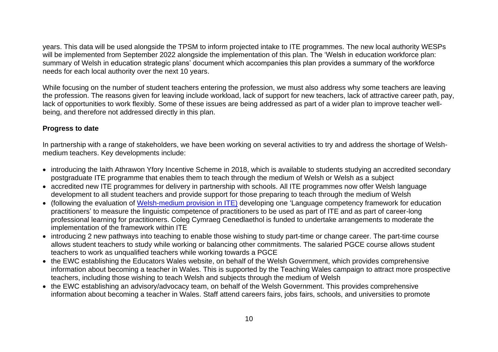years. This data will be used alongside the TPSM to inform projected intake to ITE programmes. The new local authority WESPs will be implemented from September 2022 alongside the implementation of this plan. The 'Welsh in education workforce plan: summary of Welsh in education strategic plans' document which accompanies this plan provides a summary of the workforce needs for each local authority over the next 10 years.

While focusing on the number of student teachers entering the profession, we must also address why some teachers are leaving the profession. The reasons given for leaving include workload, lack of support for new teachers, lack of attractive career path, pay, lack of opportunities to work flexibly. Some of these issues are being addressed as part of a wider plan to improve teacher wellbeing, and therefore not addressed directly in this plan.

#### **Progress to date**

In partnership with a range of stakeholders, we have been working on several activities to try and address the shortage of Welshmedium teachers. Key developments include:

- introducing the Iaith Athrawon Yfory Incentive Scheme in 2018, which is available to students studying an accredited secondary postgraduate ITE programme that enables them to teach through the medium of Welsh or Welsh as a subject
- accredited new ITE programmes for delivery in partnership with schools. All ITE programmes now offer Welsh language development to all student teachers and provide support for those preparing to teach through the medium of Welsh
- (following the evaluation of [Welsh-medium provision in ITE\)](https://gov.wales/evaluation-welsh-medium-provision-initial-teacher-education-0) developing one 'Language competency framework for education practitioners' to measure the linguistic competence of practitioners to be used as part of ITE and as part of career-long professional learning for practitioners. Coleg Cymraeg Cenedlaethol is funded to undertake arrangements to moderate the implementation of the framework within ITE
- introducing 2 new pathways into teaching to enable those wishing to study part-time or change career. The part-time course allows student teachers to study while working or balancing other commitments. The salaried PGCE course allows student teachers to work as unqualified teachers while working towards a PGCE
- the EWC establishing the Educators Wales website, on behalf of the Welsh Government, which provides comprehensive information about becoming a teacher in Wales. This is supported by the Teaching Wales campaign to attract more prospective teachers, including those wishing to teach Welsh and subjects through the medium of Welsh
- the EWC establishing an advisory/advocacy team, on behalf of the Welsh Government. This provides comprehensive information about becoming a teacher in Wales. Staff attend careers fairs, jobs fairs, schools, and universities to promote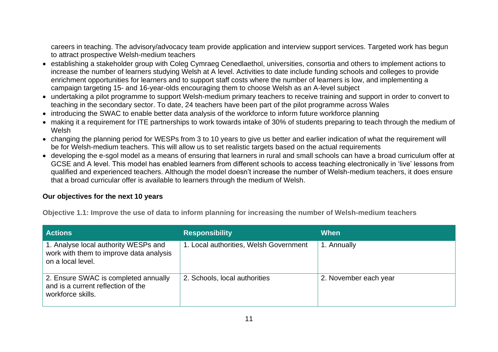careers in teaching. The advisory/advocacy team provide application and interview support services. Targeted work has begun to attract prospective Welsh-medium teachers

- establishing a stakeholder group with Coleg Cymraeg Cenedlaethol, universities, consortia and others to implement actions to increase the number of learners studying Welsh at A level. Activities to date include funding schools and colleges to provide enrichment opportunities for learners and to support staff costs where the number of learners is low, and implementing a campaign targeting 15- and 16-year-olds encouraging them to choose Welsh as an A-level subject
- undertaking a pilot programme to support Welsh-medium primary teachers to receive training and support in order to convert to teaching in the secondary sector. To date, 24 teachers have been part of the pilot programme across Wales
- introducing the SWAC to enable better data analysis of the workforce to inform future workforce planning
- making it a requirement for ITE partnerships to work towards intake of 30% of students preparing to teach through the medium of Welsh
- changing the planning period for WESPs from 3 to 10 years to give us better and earlier indication of what the requirement will be for Welsh-medium teachers. This will allow us to set realistic targets based on the actual requirements
- developing the e-sgol model as a means of ensuring that learners in rural and small schools can have a broad curriculum offer at GCSE and A level. This model has enabled learners from different schools to access teaching electronically in 'live' lessons from qualified and experienced teachers. Although the model doesn't increase the number of Welsh-medium teachers, it does ensure that a broad curricular offer is available to learners through the medium of Welsh.

#### **Our objectives for the next 10 years**

**Objective 1.1: Improve the use of data to inform planning for increasing the number of Welsh-medium teachers** 

| <b>Actions</b>                                                                                       | <b>Responsibility</b>                  | When                  |
|------------------------------------------------------------------------------------------------------|----------------------------------------|-----------------------|
| 1. Analyse local authority WESPs and<br>work with them to improve data analysis<br>on a local level. | 1. Local authorities, Welsh Government | 1. Annually           |
| 2. Ensure SWAC is completed annually<br>and is a current reflection of the<br>workforce skills.      | 2. Schools, local authorities          | 2. November each year |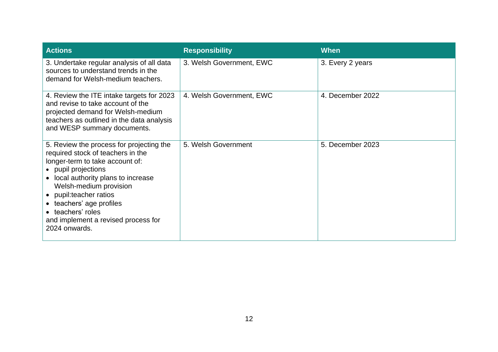| <b>Actions</b>                                                                                                                                                                                                                                                                                                                              | <b>Responsibility</b>    | When             |
|---------------------------------------------------------------------------------------------------------------------------------------------------------------------------------------------------------------------------------------------------------------------------------------------------------------------------------------------|--------------------------|------------------|
| 3. Undertake regular analysis of all data<br>sources to understand trends in the<br>demand for Welsh-medium teachers.                                                                                                                                                                                                                       | 3. Welsh Government, EWC | 3. Every 2 years |
| 4. Review the ITE intake targets for 2023<br>and revise to take account of the<br>projected demand for Welsh-medium<br>teachers as outlined in the data analysis<br>and WESP summary documents.                                                                                                                                             | 4. Welsh Government, EWC | 4. December 2022 |
| 5. Review the process for projecting the<br>required stock of teachers in the<br>longer-term to take account of:<br>• pupil projections<br>• local authority plans to increase<br>Welsh-medium provision<br>• pupil:teacher ratios<br>• teachers' age profiles<br>• teachers' roles<br>and implement a revised process for<br>2024 onwards. | 5. Welsh Government      | 5. December 2023 |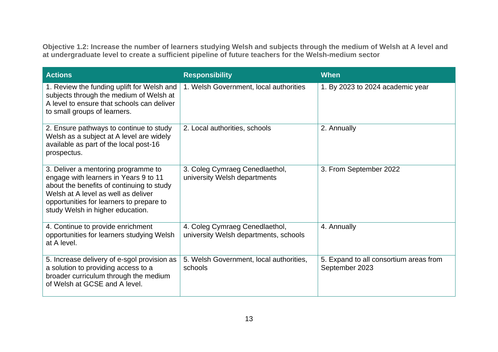**Objective 1.2: Increase the number of learners studying Welsh and subjects through the medium of Welsh at A level and at undergraduate level to create a sufficient pipeline of future teachers for the Welsh-medium sector**

| <b>Actions</b>                                                                                                                                                                                                                                   | <b>Responsibility</b>                                                   | <b>When</b>                                              |
|--------------------------------------------------------------------------------------------------------------------------------------------------------------------------------------------------------------------------------------------------|-------------------------------------------------------------------------|----------------------------------------------------------|
| 1. Review the funding uplift for Welsh and<br>subjects through the medium of Welsh at<br>A level to ensure that schools can deliver<br>to small groups of learners.                                                                              | 1. Welsh Government, local authorities                                  | 1. By 2023 to 2024 academic year                         |
| 2. Ensure pathways to continue to study<br>Welsh as a subject at A level are widely<br>available as part of the local post-16<br>prospectus.                                                                                                     | 2. Local authorities, schools                                           | 2. Annually                                              |
| 3. Deliver a mentoring programme to<br>engage with learners in Years 9 to 11<br>about the benefits of continuing to study<br>Welsh at A level as well as deliver<br>opportunities for learners to prepare to<br>study Welsh in higher education. | 3. Coleg Cymraeg Cenedlaethol,<br>university Welsh departments          | 3. From September 2022                                   |
| 4. Continue to provide enrichment<br>opportunities for learners studying Welsh<br>at A level.                                                                                                                                                    | 4. Coleg Cymraeg Cenedlaethol,<br>university Welsh departments, schools | 4. Annually                                              |
| 5. Increase delivery of e-sgol provision as<br>a solution to providing access to a<br>broader curriculum through the medium<br>of Welsh at GCSE and A level.                                                                                     | 5. Welsh Government, local authorities,<br>schools                      | 5. Expand to all consortium areas from<br>September 2023 |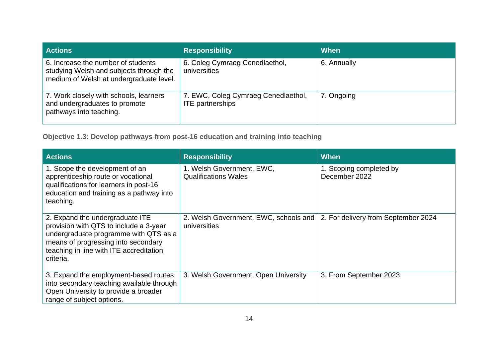| <b>Actions</b>                                                                                                           | <b>Responsibility</b>                                          | <b>When</b> |
|--------------------------------------------------------------------------------------------------------------------------|----------------------------------------------------------------|-------------|
| 6. Increase the number of students<br>studying Welsh and subjects through the<br>medium of Welsh at undergraduate level. | 6. Coleg Cymraeg Cenedlaethol,<br>universities                 | 6. Annually |
| 7. Work closely with schools, learners<br>and undergraduates to promote<br>pathways into teaching.                       | 7. EWC, Coleg Cymraeg Cenedlaethol,<br><b>ITE</b> partnerships | 7. Ongoing  |

**Objective 1.3: Develop pathways from post-16 education and training into teaching**

| <b>Actions</b>                                                                                                                                                                                                    | <b>Responsibility</b>                                    | <b>When</b>                              |
|-------------------------------------------------------------------------------------------------------------------------------------------------------------------------------------------------------------------|----------------------------------------------------------|------------------------------------------|
| 1. Scope the development of an<br>apprenticeship route or vocational<br>qualifications for learners in post-16<br>education and training as a pathway into<br>teaching.                                           | 1. Welsh Government, EWC,<br><b>Qualifications Wales</b> | 1. Scoping completed by<br>December 2022 |
| 2. Expand the undergraduate ITE<br>provision with QTS to include a 3-year<br>undergraduate programme with QTS as a<br>means of progressing into secondary<br>teaching in line with ITE accreditation<br>criteria. | 2. Welsh Government, EWC, schools and<br>universities    | 2. For delivery from September 2024      |
| 3. Expand the employment-based routes<br>into secondary teaching available through<br>Open University to provide a broader<br>range of subject options.                                                           | 3. Welsh Government, Open University                     | 3. From September 2023                   |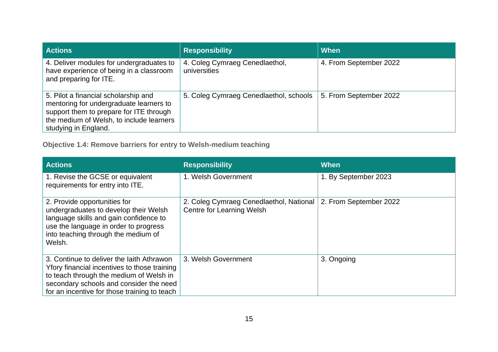| <b>Actions</b>                                                                                                                                                                                 | <b>Responsibility</b>                          | <b>When</b>            |
|------------------------------------------------------------------------------------------------------------------------------------------------------------------------------------------------|------------------------------------------------|------------------------|
| 4. Deliver modules for undergraduates to<br>have experience of being in a classroom<br>and preparing for ITE.                                                                                  | 4. Coleg Cymraeg Cenedlaethol,<br>universities | 4. From September 2022 |
| 5. Pilot a financial scholarship and<br>mentoring for undergraduate learners to<br>support them to prepare for ITE through<br>the medium of Welsh, to include learners<br>studying in England. | 5. Coleg Cymraeg Cenedlaethol, schools         | 5. From September 2022 |

**Objective 1.4: Remove barriers for entry to Welsh-medium teaching**

| <b>Actions</b>                                                                                                                                                                                                                  | <b>Responsibility</b>                                                       | When                   |
|---------------------------------------------------------------------------------------------------------------------------------------------------------------------------------------------------------------------------------|-----------------------------------------------------------------------------|------------------------|
| 1. Revise the GCSE or equivalent<br>requirements for entry into ITE.                                                                                                                                                            | 1. Welsh Government                                                         | 1. By September 2023   |
| 2. Provide opportunities for<br>undergraduates to develop their Welsh<br>language skills and gain confidence to<br>use the language in order to progress<br>into teaching through the medium of<br>Welsh.                       | 2. Coleg Cymraeg Cenedlaethol, National<br><b>Centre for Learning Welsh</b> | 2. From September 2022 |
| 3. Continue to deliver the laith Athrawon<br>Yfory financial incentives to those training<br>to teach through the medium of Welsh in<br>secondary schools and consider the need<br>for an incentive for those training to teach | 3. Welsh Government                                                         | 3. Ongoing             |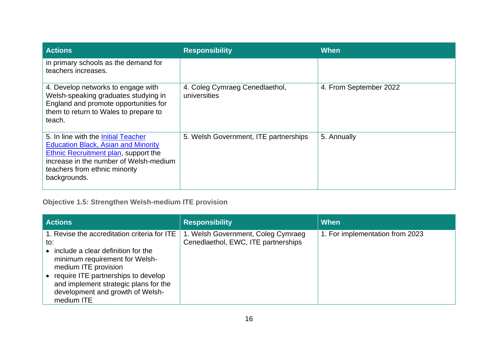| <b>Actions</b>                                                                                                                                                                                                       | <b>Responsibility</b>                          | When                   |
|----------------------------------------------------------------------------------------------------------------------------------------------------------------------------------------------------------------------|------------------------------------------------|------------------------|
| in primary schools as the demand for<br>teachers increases.                                                                                                                                                          |                                                |                        |
| 4. Develop networks to engage with<br>Welsh-speaking graduates studying in<br>England and promote opportunities for<br>them to return to Wales to prepare to<br>teach.                                               | 4. Coleg Cymraeg Cenedlaethol,<br>universities | 4. From September 2022 |
| 5. In line with the Initial Teacher<br><b>Education Black, Asian and Minority</b><br>Ethnic Recruitment plan, support the<br>increase in the number of Welsh-medium<br>teachers from ethnic minority<br>backgrounds. | 5. Welsh Government, ITE partnerships          | 5. Annually            |

### **Objective 1.5: Strengthen Welsh-medium ITE provision**

| <b>Actions</b>                                                                                                                                                                                                                                                                        | <b>Responsibility</b>                                                     | <b>When</b>                     |
|---------------------------------------------------------------------------------------------------------------------------------------------------------------------------------------------------------------------------------------------------------------------------------------|---------------------------------------------------------------------------|---------------------------------|
| 1. Revise the accreditation criteria for ITE<br>to:<br>include a clear definition for the<br>minimum requirement for Welsh-<br>medium ITE provision<br>require ITE partnerships to develop<br>and implement strategic plans for the<br>development and growth of Welsh-<br>medium ITE | 1. Welsh Government, Coleg Cymraeg<br>Cenedlaethol, EWC, ITE partnerships | 1. For implementation from 2023 |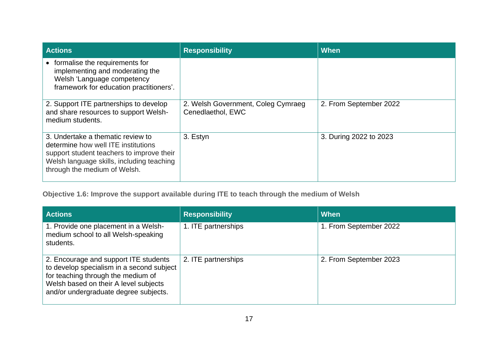| <b>Actions</b>                                                                                                                                                                                     | <b>Responsibility</b>                                   | When                   |
|----------------------------------------------------------------------------------------------------------------------------------------------------------------------------------------------------|---------------------------------------------------------|------------------------|
| • formalise the requirements for<br>implementing and moderating the<br>Welsh 'Language competency<br>framework for education practitioners'.                                                       |                                                         |                        |
| 2. Support ITE partnerships to develop<br>and share resources to support Welsh-<br>medium students.                                                                                                | 2. Welsh Government, Coleg Cymraeg<br>Cenedlaethol, EWC | 2. From September 2022 |
| 3. Undertake a thematic review to<br>determine how well ITE institutions<br>support student teachers to improve their<br>Welsh language skills, including teaching<br>through the medium of Welsh. | 3. Estyn                                                | 3. During 2022 to 2023 |

**Objective 1.6: Improve the support available during ITE to teach through the medium of Welsh** 

| <b>Actions</b>                                                                                                                                                                                             | <b>Responsibility</b> | When                   |
|------------------------------------------------------------------------------------------------------------------------------------------------------------------------------------------------------------|-----------------------|------------------------|
| 1. Provide one placement in a Welsh-<br>medium school to all Welsh-speaking<br>students.                                                                                                                   | 1. ITE partnerships   | 1. From September 2022 |
| 2. Encourage and support ITE students<br>to develop specialism in a second subject<br>for teaching through the medium of<br>Welsh based on their A level subjects<br>and/or undergraduate degree subjects. | 2. ITE partnerships   | 2. From September 2023 |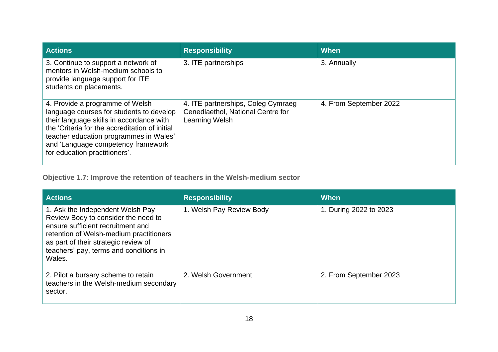| <b>Actions</b>                                                                                                                                                                                                                                                                             | <b>Responsibility</b>                                                                     | When                   |
|--------------------------------------------------------------------------------------------------------------------------------------------------------------------------------------------------------------------------------------------------------------------------------------------|-------------------------------------------------------------------------------------------|------------------------|
| 3. Continue to support a network of<br>mentors in Welsh-medium schools to<br>provide language support for ITE<br>students on placements.                                                                                                                                                   | 3. ITE partnerships                                                                       | 3. Annually            |
| 4. Provide a programme of Welsh<br>language courses for students to develop<br>their language skills in accordance with<br>the 'Criteria for the accreditation of initial<br>teacher education programmes in Wales'<br>and 'Language competency framework<br>for education practitioners'. | 4. ITE partnerships, Coleg Cymraeg<br>Cenedlaethol, National Centre for<br>Learning Welsh | 4. From September 2022 |

**Objective 1.7: Improve the retention of teachers in the Welsh-medium sector**

| <b>Actions</b>                                                                                                                                                                                                                                      | <b>Responsibility</b>    | When                   |
|-----------------------------------------------------------------------------------------------------------------------------------------------------------------------------------------------------------------------------------------------------|--------------------------|------------------------|
| 1. Ask the Independent Welsh Pay<br>Review Body to consider the need to<br>ensure sufficient recruitment and<br>retention of Welsh-medium practitioners<br>as part of their strategic review of<br>teachers' pay, terms and conditions in<br>Wales. | 1. Welsh Pay Review Body | 1. During 2022 to 2023 |
| 2. Pilot a bursary scheme to retain<br>teachers in the Welsh-medium secondary<br>sector.                                                                                                                                                            | 2. Welsh Government      | 2. From September 2023 |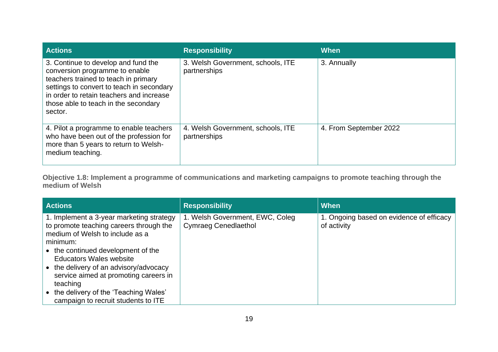| <b>Actions</b>                                                                                                                                                                                                                                            | <b>Responsibility</b>                             | When                   |
|-----------------------------------------------------------------------------------------------------------------------------------------------------------------------------------------------------------------------------------------------------------|---------------------------------------------------|------------------------|
| 3. Continue to develop and fund the<br>conversion programme to enable<br>teachers trained to teach in primary<br>settings to convert to teach in secondary<br>in order to retain teachers and increase<br>those able to teach in the secondary<br>sector. | 3. Welsh Government, schools, ITE<br>partnerships | 3. Annually            |
| 4. Pilot a programme to enable teachers<br>who have been out of the profession for<br>more than 5 years to return to Welsh-<br>medium teaching.                                                                                                           | 4. Welsh Government, schools, ITE<br>partnerships | 4. From September 2022 |

**Objective 1.8: Implement a programme of communications and marketing campaigns to promote teaching through the medium of Welsh**

| <b>Actions</b>                                                                                                                                                           | <b>Responsibility</b>                                          | <b>When</b>                                             |
|--------------------------------------------------------------------------------------------------------------------------------------------------------------------------|----------------------------------------------------------------|---------------------------------------------------------|
| 1. Implement a 3-year marketing strategy<br>to promote teaching careers through the<br>medium of Welsh to include as a<br>minimum:<br>• the continued development of the | 1. Welsh Government, EWC, Coleg<br><b>Cymraeg Cenedlaethol</b> | 1. Ongoing based on evidence of efficacy<br>of activity |
| <b>Educators Wales website</b><br>• the delivery of an advisory/advocacy<br>service aimed at promoting careers in<br>teaching                                            |                                                                |                                                         |
| • the delivery of the 'Teaching Wales'<br>campaign to recruit students to ITE                                                                                            |                                                                |                                                         |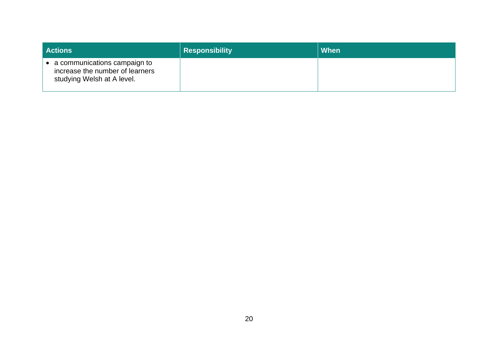| <b>Actions</b>                                                                                          | <b>Responsibility</b> | When |
|---------------------------------------------------------------------------------------------------------|-----------------------|------|
| $\bullet$ a communications campaign to<br>increase the number of learners<br>studying Welsh at A level. |                       |      |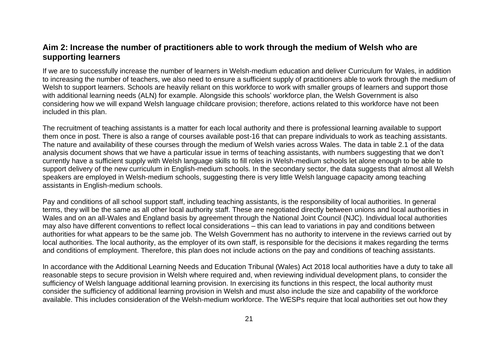#### <span id="page-22-0"></span>**Aim 2: Increase the number of practitioners able to work through the medium of Welsh who are supporting learners**

If we are to successfully increase the number of learners in Welsh-medium education and deliver Curriculum for Wales, in addition to increasing the number of teachers, we also need to ensure a sufficient supply of practitioners able to work through the medium of Welsh to support learners. Schools are heavily reliant on this workforce to work with smaller groups of learners and support those with additional learning needs (ALN) for example. Alongside this schools' workforce plan, the Welsh Government is also considering how we will expand Welsh language childcare provision; therefore, actions related to this workforce have not been included in this plan.

The recruitment of teaching assistants is a matter for each local authority and there is professional learning available to support them once in post. There is also a range of courses available post-16 that can prepare individuals to work as teaching assistants. The nature and availability of these courses through the medium of Welsh varies across Wales. The data in table 2.1 of the data analysis document shows that we have a particular issue in terms of teaching assistants, with numbers suggesting that we don't currently have a sufficient supply with Welsh language skills to fill roles in Welsh-medium schools let alone enough to be able to support delivery of the new curriculum in English-medium schools. In the secondary sector, the data suggests that almost all Welsh speakers are employed in Welsh-medium schools, suggesting there is very little Welsh language capacity among teaching assistants in English-medium schools.

Pay and conditions of all school support staff, including teaching assistants, is the responsibility of local authorities. In general terms, they will be the same as all other local authority staff. These are negotiated directly between unions and local authorities in Wales and on an all-Wales and England basis by agreement through the National Joint Council (NJC). Individual local authorities may also have different conventions to reflect local considerations – this can lead to variations in pay and conditions between authorities for what appears to be the same job. The Welsh Government has no authority to intervene in the reviews carried out by local authorities. The local authority, as the employer of its own staff, is responsible for the decisions it makes regarding the terms and conditions of employment. Therefore, this plan does not include actions on the pay and conditions of teaching assistants.

In accordance with the Additional Learning Needs and Education Tribunal (Wales) Act 2018 local authorities have a duty to take all reasonable steps to secure provision in Welsh where required and, when reviewing individual development plans, to consider the sufficiency of Welsh language additional learning provision. In exercising its functions in this respect, the local authority must consider the sufficiency of additional learning provision in Welsh and must also include the size and capability of the workforce available. This includes consideration of the Welsh-medium workforce. The WESPs require that local authorities set out how they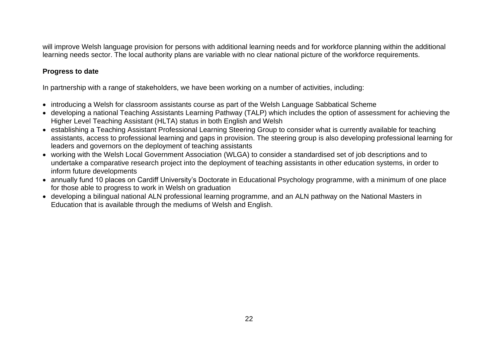will improve Welsh language provision for persons with additional learning needs and for workforce planning within the additional learning needs sector. The local authority plans are variable with no clear national picture of the workforce requirements.

#### **Progress to date**

In partnership with a range of stakeholders, we have been working on a number of activities, including:

- introducing a Welsh for classroom assistants course as part of the Welsh Language Sabbatical Scheme
- developing a national Teaching Assistants Learning Pathway (TALP) which includes the option of assessment for achieving the Higher Level Teaching Assistant (HLTA) status in both English and Welsh
- establishing a Teaching Assistant Professional Learning Steering Group to consider what is currently available for teaching assistants, access to professional learning and gaps in provision. The steering group is also developing professional learning for leaders and governors on the deployment of teaching assistants
- working with the Welsh Local Government Association (WLGA) to consider a standardised set of job descriptions and to undertake a comparative research project into the deployment of teaching assistants in other education systems, in order to inform future developments
- annually fund 10 places on Cardiff University's Doctorate in Educational Psychology programme, with a minimum of one place for those able to progress to work in Welsh on graduation
- developing a bilingual national ALN professional learning programme, and an ALN pathway on the National Masters in Education that is available through the mediums of Welsh and English.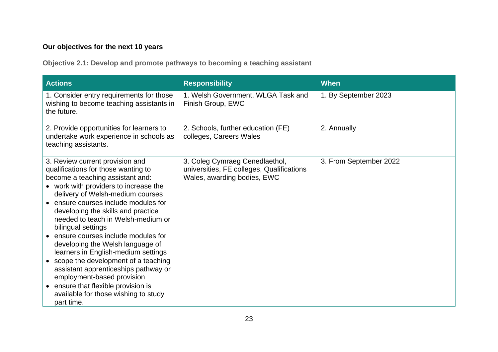#### **Our objectives for the next 10 years**

**Objective 2.1: Develop and promote pathways to becoming a teaching assistant**

| <b>Actions</b>                                                                                                                                                                                                                                                                                                                                                                                                                                                                                                                                                                                                                                                          | <b>Responsibility</b>                                                                                      | <b>When</b>            |
|-------------------------------------------------------------------------------------------------------------------------------------------------------------------------------------------------------------------------------------------------------------------------------------------------------------------------------------------------------------------------------------------------------------------------------------------------------------------------------------------------------------------------------------------------------------------------------------------------------------------------------------------------------------------------|------------------------------------------------------------------------------------------------------------|------------------------|
| 1. Consider entry requirements for those<br>wishing to become teaching assistants in<br>the future.                                                                                                                                                                                                                                                                                                                                                                                                                                                                                                                                                                     | 1. Welsh Government, WLGA Task and<br>Finish Group, EWC                                                    | 1. By September 2023   |
| 2. Provide opportunities for learners to<br>undertake work experience in schools as<br>teaching assistants.                                                                                                                                                                                                                                                                                                                                                                                                                                                                                                                                                             | 2. Schools, further education (FE)<br>colleges, Careers Wales                                              | 2. Annually            |
| 3. Review current provision and<br>qualifications for those wanting to<br>become a teaching assistant and:<br>• work with providers to increase the<br>delivery of Welsh-medium courses<br>• ensure courses include modules for<br>developing the skills and practice<br>needed to teach in Welsh-medium or<br>bilingual settings<br>ensure courses include modules for<br>developing the Welsh language of<br>learners in English-medium settings<br>scope the development of a teaching<br>assistant apprenticeships pathway or<br>employment-based provision<br>ensure that flexible provision is<br>$\bullet$<br>available for those wishing to study<br>part time. | 3. Coleg Cymraeg Cenedlaethol,<br>universities, FE colleges, Qualifications<br>Wales, awarding bodies, EWC | 3. From September 2022 |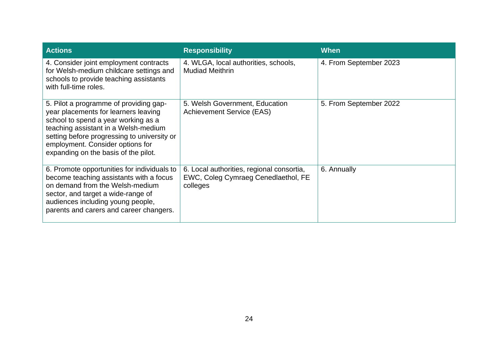| <b>Actions</b>                                                                                                                                                                                                                                                                           | <b>Responsibility</b>                                                                        | When                   |
|------------------------------------------------------------------------------------------------------------------------------------------------------------------------------------------------------------------------------------------------------------------------------------------|----------------------------------------------------------------------------------------------|------------------------|
| 4. Consider joint employment contracts<br>for Welsh-medium childcare settings and<br>schools to provide teaching assistants<br>with full-time roles.                                                                                                                                     | 4. WLGA, local authorities, schools,<br><b>Mudiad Meithrin</b>                               | 4. From September 2023 |
| 5. Pilot a programme of providing gap-<br>year placements for learners leaving<br>school to spend a year working as a<br>teaching assistant in a Welsh-medium<br>setting before progressing to university or<br>employment. Consider options for<br>expanding on the basis of the pilot. | 5. Welsh Government, Education<br><b>Achievement Service (EAS)</b>                           | 5. From September 2022 |
| 6. Promote opportunities for individuals to<br>become teaching assistants with a focus<br>on demand from the Welsh-medium<br>sector, and target a wide-range of<br>audiences including young people,<br>parents and carers and career changers.                                          | 6. Local authorities, regional consortia,<br>EWC, Coleg Cymraeg Cenedlaethol, FE<br>colleges | 6. Annually            |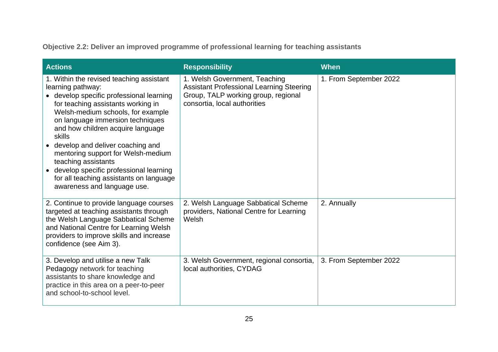**Objective 2.2: Deliver an improved programme of professional learning for teaching assistants**

| <b>Actions</b>                                                                                                                                                                                                                                                                                                                                                                                                                                                                               | <b>Responsibility</b>                                                                                                                                   | <b>When</b>            |
|----------------------------------------------------------------------------------------------------------------------------------------------------------------------------------------------------------------------------------------------------------------------------------------------------------------------------------------------------------------------------------------------------------------------------------------------------------------------------------------------|---------------------------------------------------------------------------------------------------------------------------------------------------------|------------------------|
| 1. Within the revised teaching assistant<br>learning pathway:<br>• develop specific professional learning<br>for teaching assistants working in<br>Welsh-medium schools, for example<br>on language immersion techniques<br>and how children acquire language<br>skills<br>develop and deliver coaching and<br>mentoring support for Welsh-medium<br>teaching assistants<br>develop specific professional learning<br>for all teaching assistants on language<br>awareness and language use. | 1. Welsh Government, Teaching<br><b>Assistant Professional Learning Steering</b><br>Group, TALP working group, regional<br>consortia, local authorities | 1. From September 2022 |
| 2. Continue to provide language courses<br>targeted at teaching assistants through<br>the Welsh Language Sabbatical Scheme<br>and National Centre for Learning Welsh<br>providers to improve skills and increase<br>confidence (see Aim 3).                                                                                                                                                                                                                                                  | 2. Welsh Language Sabbatical Scheme<br>providers, National Centre for Learning<br>Welsh                                                                 | 2. Annually            |
| 3. Develop and utilise a new Talk<br>Pedagogy network for teaching<br>assistants to share knowledge and<br>practice in this area on a peer-to-peer<br>and school-to-school level.                                                                                                                                                                                                                                                                                                            | 3. Welsh Government, regional consortia,<br>local authorities, CYDAG                                                                                    | 3. From September 2022 |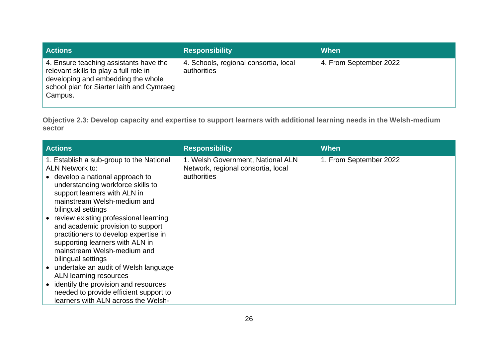| <b>Actions</b>                                                                                                                                                                 | <b>Responsibility</b>                                | When                   |
|--------------------------------------------------------------------------------------------------------------------------------------------------------------------------------|------------------------------------------------------|------------------------|
| 4. Ensure teaching assistants have the<br>relevant skills to play a full role in<br>developing and embedding the whole<br>school plan for Siarter laith and Cymraeg<br>Campus. | 4. Schools, regional consortia, local<br>authorities | 4. From September 2022 |

**Objective 2.3: Develop capacity and expertise to support learners with additional learning needs in the Welsh-medium sector**

| <b>Actions</b>                                                                                                                                                                                                                                                                                                                                                                                                                                                                            | <b>Responsibility</b>                                                                  | When                   |
|-------------------------------------------------------------------------------------------------------------------------------------------------------------------------------------------------------------------------------------------------------------------------------------------------------------------------------------------------------------------------------------------------------------------------------------------------------------------------------------------|----------------------------------------------------------------------------------------|------------------------|
| 1. Establish a sub-group to the National<br><b>ALN Network to:</b><br>• develop a national approach to<br>understanding workforce skills to<br>support learners with ALN in<br>mainstream Welsh-medium and<br>bilingual settings<br>review existing professional learning<br>and academic provision to support<br>practitioners to develop expertise in<br>supporting learners with ALN in<br>mainstream Welsh-medium and<br>bilingual settings<br>• undertake an audit of Welsh language | 1. Welsh Government, National ALN<br>Network, regional consortia, local<br>authorities | 1. From September 2022 |
| ALN learning resources                                                                                                                                                                                                                                                                                                                                                                                                                                                                    |                                                                                        |                        |
| identify the provision and resources<br>needed to provide efficient support to<br>learners with ALN across the Welsh-                                                                                                                                                                                                                                                                                                                                                                     |                                                                                        |                        |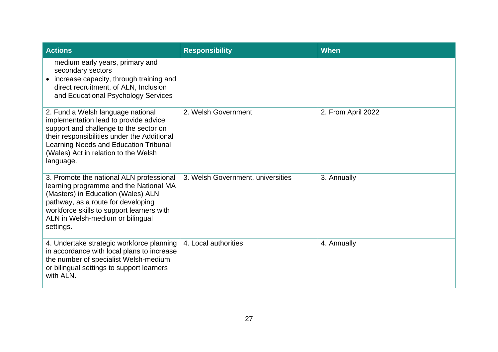| <b>Actions</b>                                                                                                                                                                                                                                                     | <b>Responsibility</b>             | <b>When</b>        |
|--------------------------------------------------------------------------------------------------------------------------------------------------------------------------------------------------------------------------------------------------------------------|-----------------------------------|--------------------|
| medium early years, primary and<br>secondary sectors<br>increase capacity, through training and<br>direct recruitment, of ALN, Inclusion<br>and Educational Psychology Services                                                                                    |                                   |                    |
| 2. Fund a Welsh language national<br>implementation lead to provide advice,<br>support and challenge to the sector on<br>their responsibilities under the Additional<br>Learning Needs and Education Tribunal<br>(Wales) Act in relation to the Welsh<br>language. | 2. Welsh Government               | 2. From April 2022 |
| 3. Promote the national ALN professional<br>learning programme and the National MA<br>(Masters) in Education (Wales) ALN<br>pathway, as a route for developing<br>workforce skills to support learners with<br>ALN in Welsh-medium or bilingual<br>settings.       | 3. Welsh Government, universities | 3. Annually        |
| 4. Undertake strategic workforce planning<br>in accordance with local plans to increase<br>the number of specialist Welsh-medium<br>or bilingual settings to support learners<br>with ALN.                                                                         | 4. Local authorities              | 4. Annually        |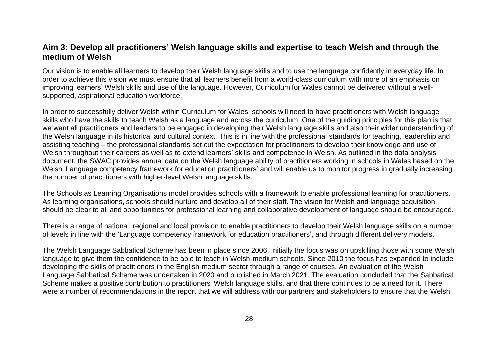#### <span id="page-29-0"></span>**Aim 3: Develop all practitioners' Welsh language skills and expertise to teach Welsh and through the medium of Welsh**

Our vision is to enable all learners to develop their Welsh language skills and to use the language confidently in everyday life. In order to achieve this vision we must ensure that all learners benefit from a world-class curriculum with more of an emphasis on improving learners' Welsh skills and use of the language. However, Curriculum for Wales cannot be delivered without a wellsupported, aspirational education workforce.

In order to successfully deliver Welsh within Curriculum for Wales, schools will need to have practitioners with Welsh language skills who have the skills to teach Welsh as a language and across the curriculum. One of the guiding principles for this plan is that we want all practitioners and leaders to be engaged in developing their Welsh language skills and also their wider understanding of the Welsh language in its historical and cultural context. This is in line with the professional standards for teaching, leadership and assisting teaching – the professional standards set out the expectation for practitioners to develop their knowledge and use of Welsh throughout their careers as well as to extend learners' skills and competence in Welsh. As outlined in the data analysis document, the SWAC provides annual data on the Welsh language ability of practitioners working in schools in Wales based on the Welsh 'Language competency framework for education practitioners' and will enable us to monitor progress in gradually increasing the number of practitioners with higher-level Welsh language skills.

The Schools as Learning Organisations model provides schools with a framework to enable professional learning for practitioners. As learning organisations, schools should nurture and develop all of their staff. The vision for Welsh and language acquisition should be clear to all and opportunities for professional learning and collaborative development of language should be encouraged.

There is a range of national, regional and local provision to enable practitioners to develop their Welsh language skills on a number of levels in line with the 'Language competency framework for education practitioners', and through different delivery models.

The Welsh Language Sabbatical Scheme has been in place since 2006. Initially the focus was on upskilling those with some Welsh language to give them the confidence to be able to teach in Welsh-medium schools. Since 2010 the focus has expanded to include developing the skills of practitioners in the English-medium sector through a range of courses. An evaluation of the Welsh Language Sabbatical Scheme was undertaken in 2020 and published in March 2021. The evaluation concluded that the Sabbatical Scheme makes a positive contribution to practitioners' Welsh language skills, and that there continues to be a need for it. There were a number of recommendations in the report that we will address with our partners and stakeholders to ensure that the Welsh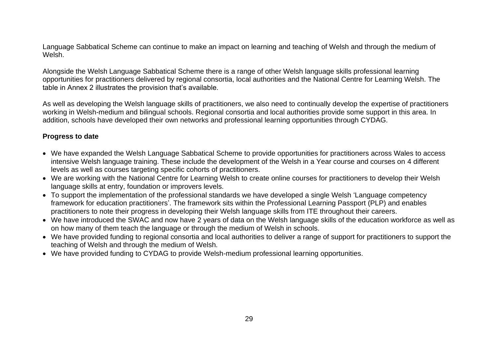Language Sabbatical Scheme can continue to make an impact on learning and teaching of Welsh and through the medium of Welsh.

Alongside the Welsh Language Sabbatical Scheme there is a range of other Welsh language skills professional learning opportunities for practitioners delivered by regional consortia, local authorities and the National Centre for Learning Welsh. The table in Annex 2 illustrates the provision that's available.

As well as developing the Welsh language skills of practitioners, we also need to continually develop the expertise of practitioners working in Welsh-medium and bilingual schools. Regional consortia and local authorities provide some support in this area. In addition, schools have developed their own networks and professional learning opportunities through CYDAG.

#### **Progress to date**

- We have expanded the Welsh Language Sabbatical Scheme to provide opportunities for practitioners across Wales to access intensive Welsh language training. These include the development of the Welsh in a Year course and courses on 4 different levels as well as courses targeting specific cohorts of practitioners.
- We are working with the National Centre for Learning Welsh to create online courses for practitioners to develop their Welsh language skills at entry, foundation or improvers levels.
- To support the implementation of the professional standards we have developed a single Welsh 'Language competency framework for education practitioners'. The framework sits within the Professional Learning Passport (PLP) and enables practitioners to note their progress in developing their Welsh language skills from ITE throughout their careers.
- We have introduced the SWAC and now have 2 years of data on the Welsh language skills of the education workforce as well as on how many of them teach the language or through the medium of Welsh in schools.
- We have provided funding to regional consortia and local authorities to deliver a range of support for practitioners to support the teaching of Welsh and through the medium of Welsh.
- We have provided funding to CYDAG to provide Welsh-medium professional learning opportunities.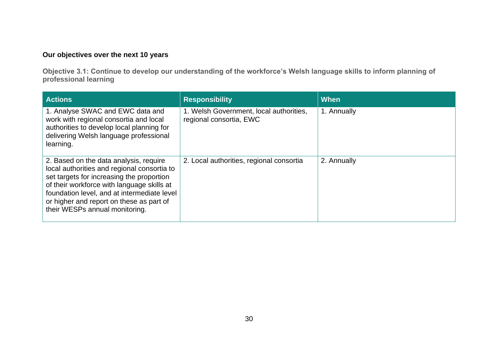#### **Our objectives over the next 10 years**

**Objective 3.1: Continue to develop our understanding of the workforce's Welsh language skills to inform planning of professional learning** 

| <b>Actions</b>                                                                                                                                                                                                                                                                                                | <b>Responsibility</b>                                              | <b>When</b> |
|---------------------------------------------------------------------------------------------------------------------------------------------------------------------------------------------------------------------------------------------------------------------------------------------------------------|--------------------------------------------------------------------|-------------|
| 1. Analyse SWAC and EWC data and<br>work with regional consortia and local<br>authorities to develop local planning for<br>delivering Welsh language professional<br>learning.                                                                                                                                | 1. Welsh Government, local authorities,<br>regional consortia, EWC | 1. Annually |
| 2. Based on the data analysis, require<br>local authorities and regional consortia to<br>set targets for increasing the proportion<br>of their workforce with language skills at<br>foundation level, and at intermediate level<br>or higher and report on these as part of<br>their WESPs annual monitoring. | 2. Local authorities, regional consortia                           | 2. Annually |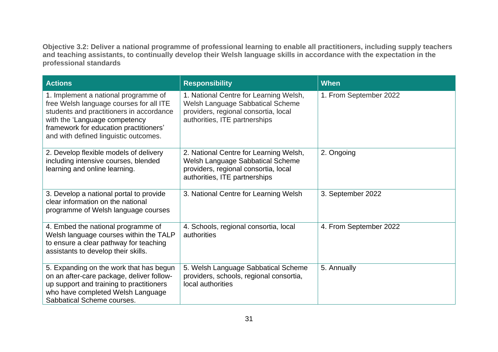**Objective 3.2: Deliver a national programme of professional learning to enable all practitioners, including supply teachers and teaching assistants, to continually develop their Welsh language skills in accordance with the expectation in the professional standards**

| <b>Actions</b>                                                                                                                                                                                                                                  | <b>Responsibility</b>                                                                                                                               | <b>When</b>            |
|-------------------------------------------------------------------------------------------------------------------------------------------------------------------------------------------------------------------------------------------------|-----------------------------------------------------------------------------------------------------------------------------------------------------|------------------------|
| 1. Implement a national programme of<br>free Welsh language courses for all ITE<br>students and practitioners in accordance<br>with the 'Language competency<br>framework for education practitioners'<br>and with defined linguistic outcomes. | 1. National Centre for Learning Welsh,<br>Welsh Language Sabbatical Scheme<br>providers, regional consortia, local<br>authorities, ITE partnerships | 1. From September 2022 |
| 2. Develop flexible models of delivery<br>including intensive courses, blended<br>learning and online learning.                                                                                                                                 | 2. National Centre for Learning Welsh,<br>Welsh Language Sabbatical Scheme<br>providers, regional consortia, local<br>authorities, ITE partnerships | 2. Ongoing             |
| 3. Develop a national portal to provide<br>clear information on the national<br>programme of Welsh language courses                                                                                                                             | 3. National Centre for Learning Welsh                                                                                                               | 3. September 2022      |
| 4. Embed the national programme of<br>Welsh language courses within the TALP<br>to ensure a clear pathway for teaching<br>assistants to develop their skills.                                                                                   | 4. Schools, regional consortia, local<br>authorities                                                                                                | 4. From September 2022 |
| 5. Expanding on the work that has begun<br>on an after-care package, deliver follow-<br>up support and training to practitioners<br>who have completed Welsh Language<br>Sabbatical Scheme courses.                                             | 5. Welsh Language Sabbatical Scheme<br>providers, schools, regional consortia,<br>local authorities                                                 | 5. Annually            |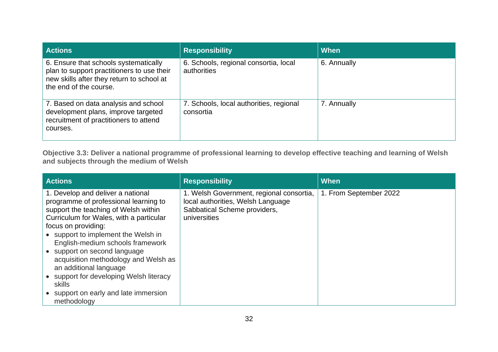| <b>Actions</b>                                                                                                                                             | <b>Responsibility</b>                                | <b>When</b> |
|------------------------------------------------------------------------------------------------------------------------------------------------------------|------------------------------------------------------|-------------|
| 6. Ensure that schools systematically<br>plan to support practitioners to use their<br>new skills after they return to school at<br>the end of the course. | 6. Schools, regional consortia, local<br>authorities | 6. Annually |
| 7. Based on data analysis and school<br>development plans, improve targeted<br>recruitment of practitioners to attend<br>courses.                          | 7. Schools, local authorities, regional<br>consortia | 7. Annually |

**Objective 3.3: Deliver a national programme of professional learning to develop effective teaching and learning of Welsh and subjects through the medium of Welsh** 

| <b>Actions</b>                                                                                                                                                                                                                                                                                                                                                                                                                                                                 | <b>Responsibility</b>                                                                                                         | When                   |
|--------------------------------------------------------------------------------------------------------------------------------------------------------------------------------------------------------------------------------------------------------------------------------------------------------------------------------------------------------------------------------------------------------------------------------------------------------------------------------|-------------------------------------------------------------------------------------------------------------------------------|------------------------|
| 1. Develop and deliver a national<br>programme of professional learning to<br>support the teaching of Welsh within<br>Curriculum for Wales, with a particular<br>focus on providing:<br>• support to implement the Welsh in<br>English-medium schools framework<br>• support on second language<br>acquisition methodology and Welsh as<br>an additional language<br>• support for developing Welsh literacy<br>skills<br>• support on early and late immersion<br>methodology | 1. Welsh Government, regional consortia,<br>local authorities, Welsh Language<br>Sabbatical Scheme providers,<br>universities | 1. From September 2022 |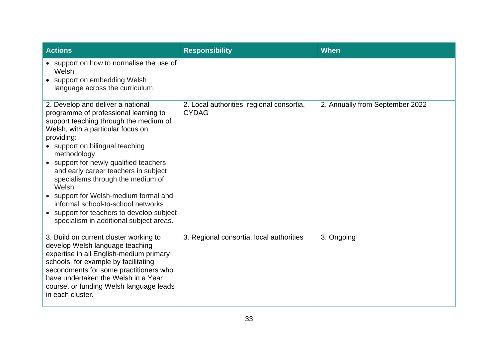| <b>Actions</b>                                                                                                                                                                                                                                                                                                                                                                                                                                                                                                                            | <b>Responsibility</b>                                     | When                            |
|-------------------------------------------------------------------------------------------------------------------------------------------------------------------------------------------------------------------------------------------------------------------------------------------------------------------------------------------------------------------------------------------------------------------------------------------------------------------------------------------------------------------------------------------|-----------------------------------------------------------|---------------------------------|
| • support on how to normalise the use of<br>Welsh<br>• support on embedding Welsh<br>language across the curriculum.                                                                                                                                                                                                                                                                                                                                                                                                                      |                                                           |                                 |
| 2. Develop and deliver a national<br>programme of professional learning to<br>support teaching through the medium of<br>Welsh, with a particular focus on<br>providing:<br>• support on bilingual teaching<br>methodology<br>• support for newly qualified teachers<br>and early career teachers in subject<br>specialisms through the medium of<br>Welsh<br>support for Welsh-medium formal and<br>informal school-to-school networks<br>support for teachers to develop subject<br>$\bullet$<br>specialism in additional subject areas. | 2. Local authorities, regional consortia,<br><b>CYDAG</b> | 2. Annually from September 2022 |
| 3. Build on current cluster working to<br>develop Welsh language teaching<br>expertise in all English-medium primary<br>schools, for example by facilitating<br>secondments for some practitioners who<br>have undertaken the Welsh in a Year<br>course, or funding Welsh language leads<br>in each cluster.                                                                                                                                                                                                                              | 3. Regional consortia, local authorities                  | 3. Ongoing                      |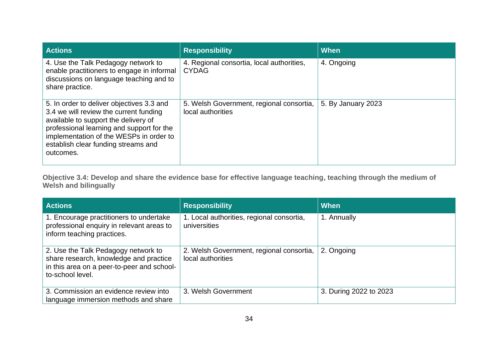| <b>Actions</b>                                                                                                                                                                                                                                                          | <b>Responsibility</b>                                         | When               |
|-------------------------------------------------------------------------------------------------------------------------------------------------------------------------------------------------------------------------------------------------------------------------|---------------------------------------------------------------|--------------------|
| 4. Use the Talk Pedagogy network to<br>enable practitioners to engage in informal<br>discussions on language teaching and to<br>share practice.                                                                                                                         | 4. Regional consortia, local authorities,<br><b>CYDAG</b>     | 4. Ongoing         |
| 5. In order to deliver objectives 3.3 and<br>3.4 we will review the current funding<br>available to support the delivery of<br>professional learning and support for the<br>implementation of the WESPs in order to<br>establish clear funding streams and<br>outcomes. | 5. Welsh Government, regional consortia,<br>local authorities | 5. By January 2023 |

**Objective 3.4: Develop and share the evidence base for effective language teaching, teaching through the medium of Welsh and bilingually** 

| <b>Actions</b>                                                                                                                                  | <b>Responsibility</b>                                         | When                   |
|-------------------------------------------------------------------------------------------------------------------------------------------------|---------------------------------------------------------------|------------------------|
| 1. Encourage practitioners to undertake<br>professional enquiry in relevant areas to<br>inform teaching practices.                              | 1. Local authorities, regional consortia,<br>universities     | 1. Annually            |
| 2. Use the Talk Pedagogy network to<br>share research, knowledge and practice<br>in this area on a peer-to-peer and school-<br>to-school level. | 2. Welsh Government, regional consortia,<br>local authorities | 2. Ongoing             |
| 3. Commission an evidence review into<br>language immersion methods and share                                                                   | 3. Welsh Government                                           | 3. During 2022 to 2023 |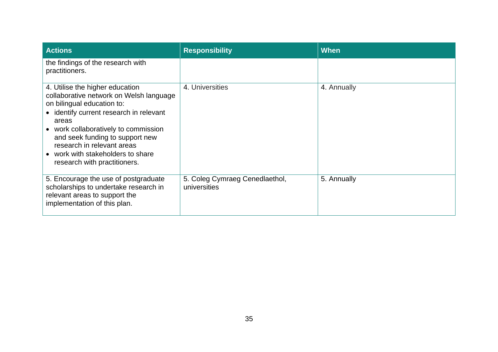| <b>Actions</b>                                                                                                                                                                                                                                                                                                                             | <b>Responsibility</b>                          | <b>When</b> |
|--------------------------------------------------------------------------------------------------------------------------------------------------------------------------------------------------------------------------------------------------------------------------------------------------------------------------------------------|------------------------------------------------|-------------|
| the findings of the research with<br>practitioners.                                                                                                                                                                                                                                                                                        |                                                |             |
| 4. Utilise the higher education<br>collaborative network on Welsh language<br>on bilingual education to:<br>• identify current research in relevant<br>areas<br>• work collaboratively to commission<br>and seek funding to support new<br>research in relevant areas<br>• work with stakeholders to share<br>research with practitioners. | 4. Universities                                | 4. Annually |
| 5. Encourage the use of postgraduate<br>scholarships to undertake research in<br>relevant areas to support the<br>implementation of this plan.                                                                                                                                                                                             | 5. Coleg Cymraeg Cenedlaethol,<br>universities | 5. Annually |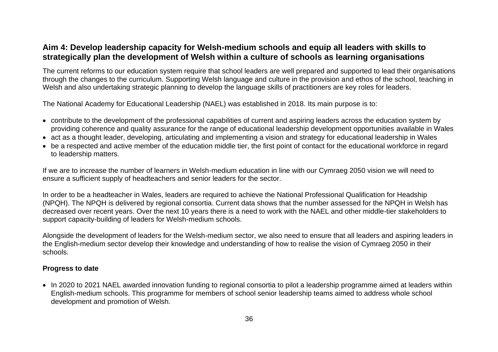#### <span id="page-37-0"></span>**Aim 4: Develop leadership capacity for Welsh-medium schools and equip all leaders with skills to strategically plan the development of Welsh within a culture of schools as learning organisations**

The current reforms to our education system require that school leaders are well prepared and supported to lead their organisations through the changes to the curriculum. Supporting Welsh language and culture in the provision and ethos of the school, teaching in Welsh and also undertaking strategic planning to develop the language skills of practitioners are key roles for leaders.

The National Academy for Educational Leadership (NAEL) was established in 2018. Its main purpose is to:

- contribute to the development of the professional capabilities of current and aspiring leaders across the education system by providing coherence and quality assurance for the range of educational leadership development opportunities available in Wales
- act as a thought leader, developing, articulating and implementing a vision and strategy for educational leadership in Wales
- be a respected and active member of the education middle tier, the first point of contact for the educational workforce in regard to leadership matters.

If we are to increase the number of learners in Welsh-medium education in line with our Cymraeg 2050 vision we will need to ensure a sufficient supply of headteachers and senior leaders for the sector.

In order to be a headteacher in Wales, leaders are required to achieve the National Professional Qualification for Headship (NPQH). The NPQH is delivered by regional consortia. Current data shows that the number assessed for the NPQH in Welsh has decreased over recent years. Over the next 10 years there is a need to work with the NAEL and other middle-tier stakeholders to support capacity-building of leaders for Welsh-medium schools.

Alongside the development of leaders for the Welsh-medium sector, we also need to ensure that all leaders and aspiring leaders in the English-medium sector develop their knowledge and understanding of how to realise the vision of Cymraeg 2050 in their schools.

#### **Progress to date**

• In 2020 to 2021 NAEL awarded innovation funding to regional consortia to pilot a leadership programme aimed at leaders within English-medium schools. This programme for members of school senior leadership teams aimed to address whole school development and promotion of Welsh.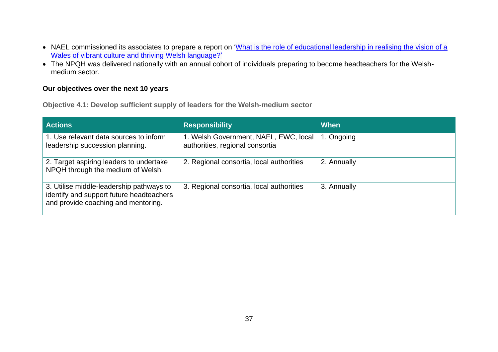- NAEL commissioned its associates to prepare a report on 'What is the role of educational leadership in realising the vision of a [Wales of vibrant culture and thriving Welsh language?'](https://indd.adobe.com/view/edaf30f1-cb7e-43c4-8788-6db7dbc0c0fe)
- The NPQH was delivered nationally with an annual cohort of individuals preparing to become headteachers for the Welshmedium sector.

#### **Our objectives over the next 10 years**

**Objective 4.1: Develop sufficient supply of leaders for the Welsh-medium sector**

| <b>Actions</b>                                                                                                              | <b>Responsibility</b>                                                    | When        |
|-----------------------------------------------------------------------------------------------------------------------------|--------------------------------------------------------------------------|-------------|
| 1. Use relevant data sources to inform<br>leadership succession planning.                                                   | 1. Welsh Government, NAEL, EWC, local<br>authorities, regional consortia | 1. Ongoing  |
| 2. Target aspiring leaders to undertake<br>NPQH through the medium of Welsh.                                                | 2. Regional consortia, local authorities                                 | 2. Annually |
| 3. Utilise middle-leadership pathways to<br>identify and support future headteachers<br>and provide coaching and mentoring. | 3. Regional consortia, local authorities                                 | 3. Annually |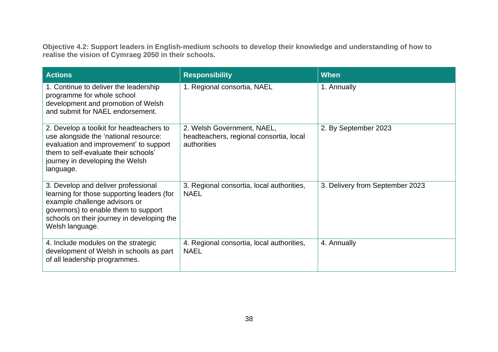**Objective 4.2: Support leaders in English-medium schools to develop their knowledge and understanding of how to realise the vision of Cymraeg 2050 in their schools.**

| <b>Actions</b>                                                                                                                                                                                                              | <b>Responsibility</b>                                                                | <b>When</b>                     |
|-----------------------------------------------------------------------------------------------------------------------------------------------------------------------------------------------------------------------------|--------------------------------------------------------------------------------------|---------------------------------|
| 1. Continue to deliver the leadership<br>programme for whole school<br>development and promotion of Welsh<br>and submit for NAEL endorsement.                                                                               | 1. Regional consortia, NAEL                                                          | 1. Annually                     |
| 2. Develop a toolkit for headteachers to<br>use alongside the 'national resource:<br>evaluation and improvement' to support<br>them to self-evaluate their schools'<br>journey in developing the Welsh<br>language.         | 2. Welsh Government, NAEL,<br>headteachers, regional consortia, local<br>authorities | 2. By September 2023            |
| 3. Develop and deliver professional<br>learning for those supporting leaders (for<br>example challenge advisors or<br>governors) to enable them to support<br>schools on their journey in developing the<br>Welsh language. | 3. Regional consortia, local authorities,<br><b>NAEL</b>                             | 3. Delivery from September 2023 |
| 4. Include modules on the strategic<br>development of Welsh in schools as part<br>of all leadership programmes.                                                                                                             | 4. Regional consortia, local authorities,<br><b>NAEL</b>                             | 4. Annually                     |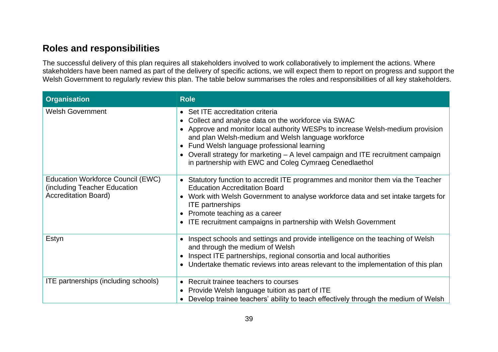### <span id="page-40-0"></span>**Roles and responsibilities**

The successful delivery of this plan requires all stakeholders involved to work collaboratively to implement the actions. Where stakeholders have been named as part of the delivery of specific actions, we will expect them to report on progress and support the Welsh Government to regularly review this plan. The table below summarises the roles and responsibilities of all key stakeholders.

| <b>Organisation</b>                                                                              | <b>Role</b>                                                                                                                                                                                                                                                                                                                                                                                                                              |
|--------------------------------------------------------------------------------------------------|------------------------------------------------------------------------------------------------------------------------------------------------------------------------------------------------------------------------------------------------------------------------------------------------------------------------------------------------------------------------------------------------------------------------------------------|
| <b>Welsh Government</b>                                                                          | • Set ITE accreditation criteria<br>Collect and analyse data on the workforce via SWAC<br>$\bullet$<br>• Approve and monitor local authority WESPs to increase Welsh-medium provision<br>and plan Welsh-medium and Welsh language workforce<br>• Fund Welsh language professional learning<br>• Overall strategy for marketing – A level campaign and ITE recruitment campaign<br>in partnership with EWC and Coleg Cymraeg Cenedlaethol |
| Education Workforce Council (EWC)<br>(including Teacher Education<br><b>Accreditation Board)</b> | Statutory function to accredit ITE programmes and monitor them via the Teacher<br>$\bullet$<br><b>Education Accreditation Board</b><br>Work with Welsh Government to analyse workforce data and set intake targets for<br><b>ITE</b> partnerships<br>• Promote teaching as a career<br>ITE recruitment campaigns in partnership with Welsh Government<br>$\bullet$                                                                       |
| Estyn                                                                                            | Inspect schools and settings and provide intelligence on the teaching of Welsh<br>$\bullet$<br>and through the medium of Welsh<br>Inspect ITE partnerships, regional consortia and local authorities<br>Undertake thematic reviews into areas relevant to the implementation of this plan<br>$\bullet$                                                                                                                                   |
| ITE partnerships (including schools)                                                             | Recruit trainee teachers to courses<br>$\bullet$<br>Provide Welsh language tuition as part of ITE<br>$\bullet$<br>Develop trainee teachers' ability to teach effectively through the medium of Welsh                                                                                                                                                                                                                                     |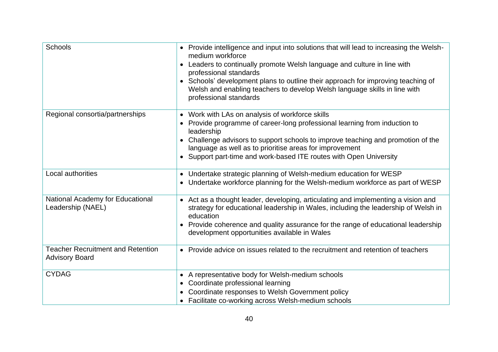| <b>Schools</b>                                                    | • Provide intelligence and input into solutions that will lead to increasing the Welsh-<br>medium workforce<br>Leaders to continually promote Welsh language and culture in line with<br>professional standards<br>Schools' development plans to outline their approach for improving teaching of<br>Welsh and enabling teachers to develop Welsh language skills in line with<br>professional standards |
|-------------------------------------------------------------------|----------------------------------------------------------------------------------------------------------------------------------------------------------------------------------------------------------------------------------------------------------------------------------------------------------------------------------------------------------------------------------------------------------|
| Regional consortia/partnerships                                   | Work with LAs on analysis of workforce skills<br>Provide programme of career-long professional learning from induction to<br>leadership<br>Challenge advisors to support schools to improve teaching and promotion of the<br>language as well as to prioritise areas for improvement<br>Support part-time and work-based ITE routes with Open University                                                 |
| Local authorities                                                 | Undertake strategic planning of Welsh-medium education for WESP<br>$\bullet$<br>Undertake workforce planning for the Welsh-medium workforce as part of WESP                                                                                                                                                                                                                                              |
| National Academy for Educational<br>Leadership (NAEL)             | • Act as a thought leader, developing, articulating and implementing a vision and<br>strategy for educational leadership in Wales, including the leadership of Welsh in<br>education<br>• Provide coherence and quality assurance for the range of educational leadership<br>development opportunities available in Wales                                                                                |
| <b>Teacher Recruitment and Retention</b><br><b>Advisory Board</b> | • Provide advice on issues related to the recruitment and retention of teachers                                                                                                                                                                                                                                                                                                                          |
| <b>CYDAG</b>                                                      | • A representative body for Welsh-medium schools<br>• Coordinate professional learning<br>Coordinate responses to Welsh Government policy<br>• Facilitate co-working across Welsh-medium schools                                                                                                                                                                                                         |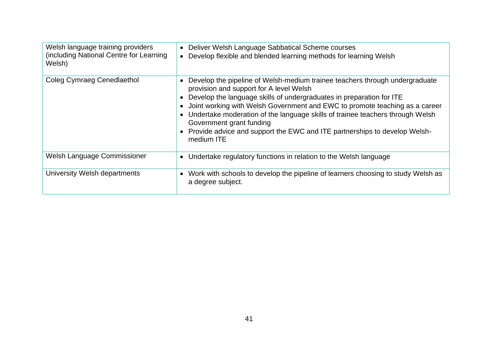| Welsh language training providers<br>(including National Centre for Learning<br>Welsh) | Deliver Welsh Language Sabbatical Scheme courses<br>$\bullet$<br>Develop flexible and blended learning methods for learning Welsh<br>$\bullet$                                                                                                                                                                                                                                                                                                                                                                                                         |
|----------------------------------------------------------------------------------------|--------------------------------------------------------------------------------------------------------------------------------------------------------------------------------------------------------------------------------------------------------------------------------------------------------------------------------------------------------------------------------------------------------------------------------------------------------------------------------------------------------------------------------------------------------|
| <b>Coleg Cymraeg Cenedlaethol</b>                                                      | Develop the pipeline of Welsh-medium trainee teachers through undergraduate<br>$\bullet$<br>provision and support for A level Welsh<br>Develop the language skills of undergraduates in preparation for ITE<br>$\bullet$<br>Joint working with Welsh Government and EWC to promote teaching as a career<br>$\bullet$<br>Undertake moderation of the language skills of trainee teachers through Welsh<br>$\bullet$<br>Government grant funding<br>Provide advice and support the EWC and ITE partnerships to develop Welsh-<br>$\bullet$<br>medium ITE |
| Welsh Language Commissioner                                                            | Undertake regulatory functions in relation to the Welsh language<br>$\bullet$                                                                                                                                                                                                                                                                                                                                                                                                                                                                          |
| University Welsh departments                                                           | Work with schools to develop the pipeline of learners choosing to study Welsh as<br>$\bullet$<br>a degree subject.                                                                                                                                                                                                                                                                                                                                                                                                                                     |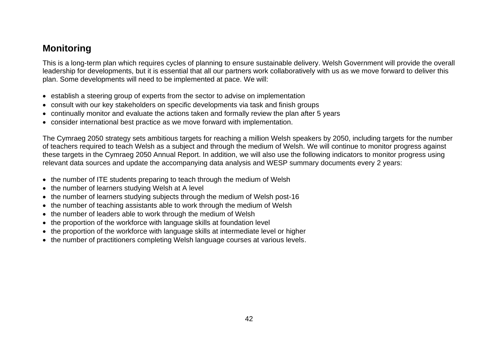### <span id="page-43-0"></span>**Monitoring**

This is a long-term plan which requires cycles of planning to ensure sustainable delivery. Welsh Government will provide the overall leadership for developments, but it is essential that all our partners work collaboratively with us as we move forward to deliver this plan. Some developments will need to be implemented at pace. We will:

- establish a steering group of experts from the sector to advise on implementation
- consult with our key stakeholders on specific developments via task and finish groups
- continually monitor and evaluate the actions taken and formally review the plan after 5 years
- consider international best practice as we move forward with implementation.

The Cymraeg 2050 strategy sets ambitious targets for reaching a million Welsh speakers by 2050, including targets for the number of teachers required to teach Welsh as a subject and through the medium of Welsh. We will continue to monitor progress against these targets in the Cymraeg 2050 Annual Report. In addition, we will also use the following indicators to monitor progress using relevant data sources and update the accompanying data analysis and WESP summary documents every 2 years:

- the number of ITE students preparing to teach through the medium of Welsh
- the number of learners studving Welsh at A level
- the number of learners studying subjects through the medium of Welsh post-16
- the number of teaching assistants able to work through the medium of Welsh
- the number of leaders able to work through the medium of Welsh
- the proportion of the workforce with language skills at foundation level
- the proportion of the workforce with language skills at intermediate level or higher
- the number of practitioners completing Welsh language courses at various levels.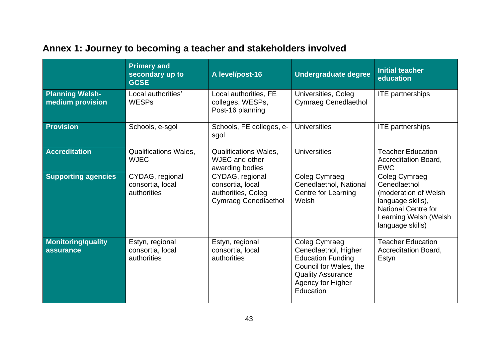|                                            | <b>Primary and</b><br>secondary up to<br><b>GCSE</b> | A level/post-16                                                                          | <b>Undergraduate degree</b>                                                                                                                               | <b>Initial teacher</b><br>education                                                                                                                           |  |
|--------------------------------------------|------------------------------------------------------|------------------------------------------------------------------------------------------|-----------------------------------------------------------------------------------------------------------------------------------------------------------|---------------------------------------------------------------------------------------------------------------------------------------------------------------|--|
| <b>Planning Welsh-</b><br>medium provision | Local authorities'<br><b>WESPs</b>                   | Local authorities, FE<br>colleges, WESPs,<br>Post-16 planning                            | Universities, Coleg<br><b>Cymraeg Cenedlaethol</b>                                                                                                        | <b>ITE</b> partnerships                                                                                                                                       |  |
| <b>Provision</b>                           | Schools, e-sgol                                      | Schools, FE colleges, e-<br>sgol                                                         | <b>Universities</b>                                                                                                                                       | <b>ITE</b> partnerships                                                                                                                                       |  |
| <b>Accreditation</b>                       | <b>Qualifications Wales,</b><br><b>WJEC</b>          | <b>Qualifications Wales,</b><br>WJEC and other<br>awarding bodies                        | <b>Universities</b>                                                                                                                                       | <b>Teacher Education</b><br>Accreditation Board,<br><b>EWC</b>                                                                                                |  |
| <b>Supporting agencies</b>                 | CYDAG, regional<br>consortia, local<br>authorities   | CYDAG, regional<br>consortia, local<br>authorities, Coleg<br><b>Cymraeg Cenedlaethol</b> | Coleg Cymraeg<br>Cenedlaethol, National<br><b>Centre for Learning</b><br>Welsh                                                                            | <b>Coleg Cymraeg</b><br>Cenedlaethol<br>(moderation of Welsh)<br>language skills),<br><b>National Centre for</b><br>Learning Welsh (Welsh<br>language skills) |  |
| <b>Monitoring/quality</b><br>assurance     | Estyn, regional<br>consortia, local<br>authorities   | Estyn, regional<br>consortia, local<br>authorities                                       | Coleg Cymraeg<br>Cenedlaethol, Higher<br><b>Education Funding</b><br>Council for Wales, the<br><b>Quality Assurance</b><br>Agency for Higher<br>Education | <b>Teacher Education</b><br><b>Accreditation Board,</b><br>Estyn                                                                                              |  |

## <span id="page-44-0"></span>**Annex 1: Journey to becoming a teacher and stakeholders involved**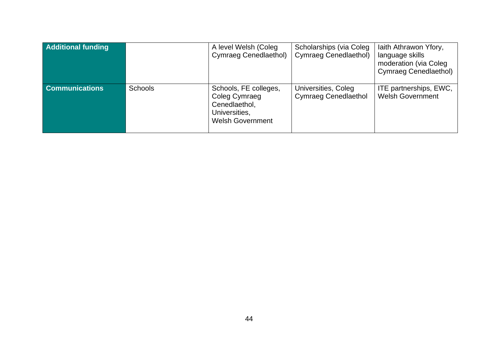| <b>Additional funding</b> |                | A level Welsh (Coleg<br>Cymraeg Cenedlaethol)                                                       | Scholarships (via Coleg<br>Cymraeg Cenedlaethol)   | laith Athrawon Yfory,<br>language skills<br>moderation (via Coleg<br>Cymraeg Cenedlaethol) |
|---------------------------|----------------|-----------------------------------------------------------------------------------------------------|----------------------------------------------------|--------------------------------------------------------------------------------------------|
| <b>Communications</b>     | <b>Schools</b> | Schools, FE colleges,<br>Coleg Cymraeg<br>Cenedlaethol,<br>Universities,<br><b>Welsh Government</b> | Universities, Coleg<br><b>Cymraeg Cenedlaethol</b> | ITE partnerships, EWC,<br><b>Welsh Government</b>                                          |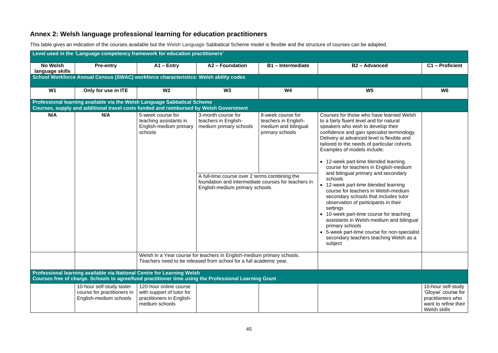### <span id="page-46-0"></span>**Annex 2: Welsh language professional learning for education practitioners**

This table gives an indication of the courses available but the Welsh Language Sabbatical Scheme model is flexible and the structure of courses can be adapted.

|                                    | Level used in the 'Language competency framework for education practitioners'                                                                                     |                                                                                                    |                                                                                                                                                                                                                 |                                                                                      |                                                                                                                                                                                                                                                                                                                                                                                                                                                                                                                                                                                                                                                                                                                                                                                                                                      |                                                                                                        |  |  |  |  |
|------------------------------------|-------------------------------------------------------------------------------------------------------------------------------------------------------------------|----------------------------------------------------------------------------------------------------|-----------------------------------------------------------------------------------------------------------------------------------------------------------------------------------------------------------------|--------------------------------------------------------------------------------------|--------------------------------------------------------------------------------------------------------------------------------------------------------------------------------------------------------------------------------------------------------------------------------------------------------------------------------------------------------------------------------------------------------------------------------------------------------------------------------------------------------------------------------------------------------------------------------------------------------------------------------------------------------------------------------------------------------------------------------------------------------------------------------------------------------------------------------------|--------------------------------------------------------------------------------------------------------|--|--|--|--|
| <b>No Welsh</b><br>language skills | <b>Pre-entry</b>                                                                                                                                                  | $A1 - Entry$                                                                                       | A2 - Foundation                                                                                                                                                                                                 | <b>B1-Intermediate</b>                                                               | <b>B2-Advanced</b>                                                                                                                                                                                                                                                                                                                                                                                                                                                                                                                                                                                                                                                                                                                                                                                                                   | C1 - Proficient                                                                                        |  |  |  |  |
|                                    | School Workforce Annual Census (SWAC) workforce characteristics: Welsh ability codes                                                                              |                                                                                                    |                                                                                                                                                                                                                 |                                                                                      |                                                                                                                                                                                                                                                                                                                                                                                                                                                                                                                                                                                                                                                                                                                                                                                                                                      |                                                                                                        |  |  |  |  |
| W1                                 | Only for use in ITE                                                                                                                                               | W <sub>2</sub>                                                                                     | W3                                                                                                                                                                                                              | <b>W4</b>                                                                            | W <sub>5</sub>                                                                                                                                                                                                                                                                                                                                                                                                                                                                                                                                                                                                                                                                                                                                                                                                                       | W6                                                                                                     |  |  |  |  |
|                                    | Professional learning available via the Welsh Language Sabbatical Scheme<br>Courses, supply and additional travel costs funded and reimbursed by Welsh Government |                                                                                                    |                                                                                                                                                                                                                 |                                                                                      |                                                                                                                                                                                                                                                                                                                                                                                                                                                                                                                                                                                                                                                                                                                                                                                                                                      |                                                                                                        |  |  |  |  |
| N/A                                | N/A                                                                                                                                                               | 5-week course for<br>teaching assistants in<br>English-medium primary<br>schools                   | 3-month course for<br>teachers in English-<br>medium primary schools<br>A full-time course over 2 terms combining the<br>foundation and intermediate courses for teachers in<br>English-medium primary schools. | 8-week course for<br>teachers in English-<br>medium and bilingual<br>primary schools | Courses for those who have learned Welsh<br>to a fairly fluent level and for natural<br>speakers who wish to develop their<br>confidence and gain specialist terminology.<br>Delivery at advanced level is flexible and<br>tailored to the needs of particular cohorts.<br>Examples of models include:<br>• 12-week part-time blended learning<br>course for teachers in English-medium<br>and bilingual primary and secondary<br>schools<br>• 12-week part-time blended learning<br>course for teachers in Welsh-medium<br>secondary schools that includes tutor<br>observation of participants in their<br>settings<br>• 10-week part-time course for teaching<br>assistants in Welsh-medium and bilingual<br>primary schools<br>• 5-week part-time course for non-specialist<br>secondary teachers teaching Welsh as a<br>subject |                                                                                                        |  |  |  |  |
|                                    |                                                                                                                                                                   |                                                                                                    | Welsh in a Year course for teachers in English-medium primary schools.<br>Teachers need to be released from school for a full academic year.                                                                    |                                                                                      |                                                                                                                                                                                                                                                                                                                                                                                                                                                                                                                                                                                                                                                                                                                                                                                                                                      |                                                                                                        |  |  |  |  |
|                                    | Professional learning available via National Centre for Learning Welsh                                                                                            |                                                                                                    | Courses free of charge. Schools to agree/fund practitioner time using the Professional Learning Grant                                                                                                           |                                                                                      |                                                                                                                                                                                                                                                                                                                                                                                                                                                                                                                                                                                                                                                                                                                                                                                                                                      |                                                                                                        |  |  |  |  |
|                                    | 10-hour self-study taster<br>course for practitioners in<br>English-medium schools                                                                                | 120-hour online course<br>with support of tutor for<br>practitioners in English-<br>medium schools |                                                                                                                                                                                                                 |                                                                                      |                                                                                                                                                                                                                                                                                                                                                                                                                                                                                                                                                                                                                                                                                                                                                                                                                                      | 10-hour self-study<br>'Gloywi' course for<br>practitioners who<br>want to refine their<br>Welsh skills |  |  |  |  |